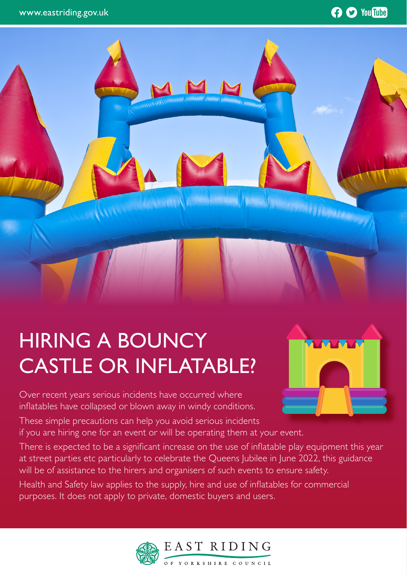### **O** You Tube



# HIRING A BOUNCY CASTLE OR INFLATABLE?

Over recent years serious incidents have occurred where inflatables have collapsed or blown away in windy conditions.

These simple precautions can help you avoid serious incidents if you are hiring one for an event or will be operating them at your event.

There is expected to be a significant increase on the use of inflatable play equipment this year at street parties etc particularly to celebrate the Queens Jubilee in June 2022, this guidance will be of assistance to the hirers and organisers of such events to ensure safety.

Health and Safety law applies to the supply, hire and use of inflatables for commercial purposes. It does not apply to private, domestic buyers and users.



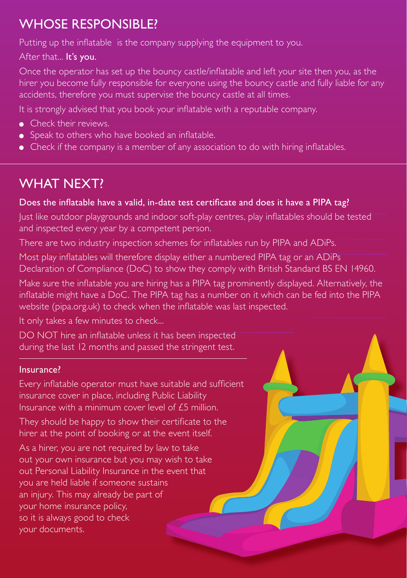# WHOSE RESPONSIBLE?

Putting up the inflatable is the company supplying the equipment to you.

After that... It's you.

Once the operator has set up the bouncy castle/inflatable and left your site then you, as the hirer you become fully responsible for everyone using the bouncy castle and fully liable for any accidents, therefore you must supervise the bouncy castle at all times.

It is strongly advised that you book your inflatable with a reputable company.

- Check their reviews.
- Speak to others who have booked an inflatable.
- Check if the company is a member of any association to do with hiring inflatables.

## WHAT NEXT?

### Does the inflatable have a valid, in-date test certificate and does it have a PIPA tag?

Just like outdoor playgrounds and indoor soft-play centres, play inflatables should be tested and inspected every year by a competent person.

There are two industry inspection schemes for inflatables run by PIPA and ADiPs.

Most play inflatables will therefore display either a numbered PIPA tag or an ADiPs Declaration of Compliance (DoC) to show they comply with British Standard BS EN 14960.

Make sure the inflatable you are hiring has a PIPA tag prominently displayed. Alternatively, the inflatable might have a DoC. The PIPA tag has a number on it which can be fed into the PIPA website (pipa.org.uk) to check when the inflatable was last inspected.

It only takes a few minutes to check...

DO NOT hire an inflatable unless it has been inspected during the last 12 months and passed the stringent test.

### Insurance?

Every inflatable operator must have suitable and sufficient insurance cover in place, including Public Liability Insurance with a minimum cover level of £5 million.

They should be happy to show their certificate to the hirer at the point of booking or at the event itself.

As a hirer, you are not required by law to take out your own insurance but you may wish to take out Personal Liability Insurance in the event that you are held liable if someone sustains an injury. This may already be part of your home insurance policy, so it is always good to check your documents.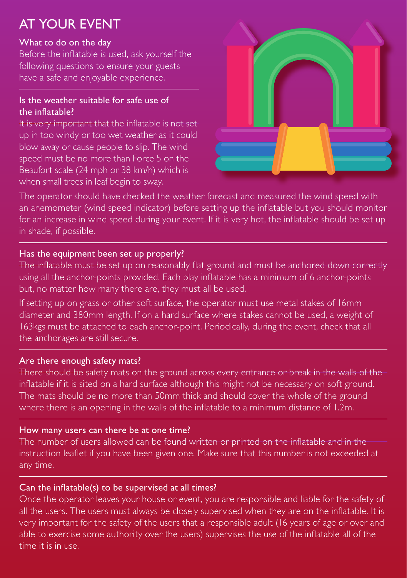# AT YOUR EVENT

#### What to do on the day

Before the inflatable is used, ask yourself the following questions to ensure your guests have a safe and enjoyable experience.

#### Is the weather suitable for safe use of the inflatable?

It is very important that the inflatable is not set up in too windy or too wet weather as it could blow away or cause people to slip. The wind speed must be no more than Force 5 on the Beaufort scale (24 mph or 38 km/h) which is when small trees in leaf begin to sway.



The operator should have checked the weather forecast and measured the wind speed with an anemometer (wind speed indicator) before setting up the inflatable but you should monitor for an increase in wind speed during your event. If it is very hot, the inflatable should be set up in shade, if possible.

#### Has the equipment been set up properly?

The inflatable must be set up on reasonably flat ground and must be anchored down correctly using all the anchor-points provided. Each play inflatable has a minimum of 6 anchor-points but, no matter how many there are, they must all be used.

If setting up on grass or other soft surface, the operator must use metal stakes of 16mm diameter and 380mm length. If on a hard surface where stakes cannot be used, a weight of 163kgs must be attached to each anchor-point. Periodically, during the event, check that all the anchorages are still secure.

#### Are there enough safety mats?

There should be safety mats on the ground across every entrance or break in the walls of the inflatable if it is sited on a hard surface although this might not be necessary on soft ground. The mats should be no more than 50mm thick and should cover the whole of the ground where there is an opening in the walls of the inflatable to a minimum distance of 1.2m.

#### How many users can there be at one time?

The number of users allowed can be found written or printed on the inflatable and in the instruction leaflet if you have been given one. Make sure that this number is not exceeded at any time.

### Can the inflatable(s) to be supervised at all times?

Once the operator leaves your house or event, you are responsible and liable for the safety of all the users. The users must always be closely supervised when they are on the inflatable. It is very important for the safety of the users that a responsible adult (16 years of age or over and able to exercise some authority over the users) supervises the use of the inflatable all of the time it is in use.